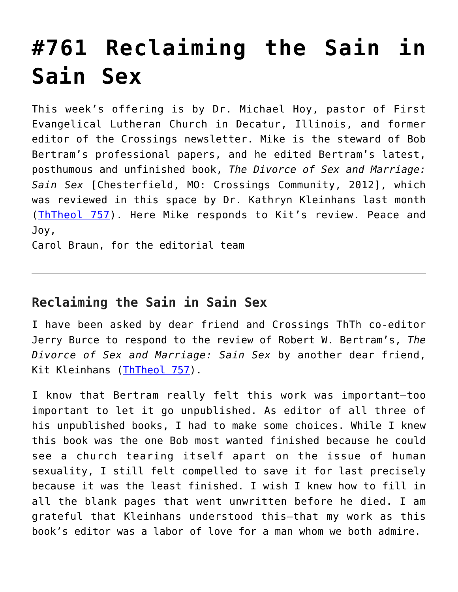## **[#761 Reclaiming the Sain in](https://crossings.org/761-reclaiming-the-sain-in-sain-sex/) [Sain Sex](https://crossings.org/761-reclaiming-the-sain-in-sain-sex/)**

This week's offering is by Dr. Michael Hoy, pastor of First Evangelical Lutheran Church in Decatur, Illinois, and former editor of the Crossings newsletter. Mike is the steward of Bob Bertram's professional papers, and he edited Bertram's latest, posthumous and unfinished book, *The Divorce of Sex and Marriage: Sain Sex* [Chesterfield, MO: Crossings Community, 2012], which was reviewed in this space by Dr. Kathryn Kleinhans last month ([ThTheol 757\)](https://crossings.org/thursday/2012/thur121312.shtml). Here Mike responds to Kit's review. Peace and Joy,

Carol Braun, for the editorial team

## **Reclaiming the Sain in Sain Sex**

I have been asked by dear friend and Crossings ThTh co-editor Jerry Burce to respond to the review of Robert W. Bertram's, *The Divorce of Sex and Marriage: Sain Sex* by another dear friend, Kit Kleinhans [\(ThTheol 757\)](https://crossings.org/thursday/2012/thur121312.shtml).

I know that Bertram really felt this work was important—too important to let it go unpublished. As editor of all three of his unpublished books, I had to make some choices. While I knew this book was the one Bob most wanted finished because he could see a church tearing itself apart on the issue of human sexuality, I still felt compelled to save it for last precisely because it was the least finished. I wish I knew how to fill in all the blank pages that went unwritten before he died. I am grateful that Kleinhans understood this—that my work as this book's editor was a labor of love for a man whom we both admire.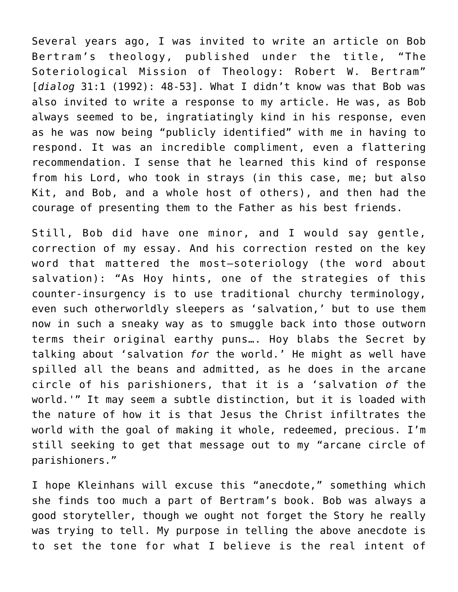Several years ago, I was invited to write an article on Bob Bertram's theology, published under the title, "The Soteriological Mission of Theology: Robert W. Bertram" [*dialog* 31:1 (1992): 48-53]. What I didn't know was that Bob was also invited to write a response to my article. He was, as Bob always seemed to be, ingratiatingly kind in his response, even as he was now being "publicly identified" with me in having to respond. It was an incredible compliment, even a flattering recommendation. I sense that he learned this kind of response from his Lord, who took in strays (in this case, me; but also Kit, and Bob, and a whole host of others), and then had the courage of presenting them to the Father as his best friends.

Still, Bob did have one minor, and I would say gentle, correction of my essay. And his correction rested on the key word that mattered the most—soteriology (the word about salvation): "As Hoy hints, one of the strategies of this counter-insurgency is to use traditional churchy terminology, even such otherworldly sleepers as 'salvation,' but to use them now in such a sneaky way as to smuggle back into those outworn terms their original earthy puns…. Hoy blabs the Secret by talking about 'salvation *for* the world.' He might as well have spilled all the beans and admitted, as he does in the arcane circle of his parishioners, that it is a 'salvation *of* the world.'" It may seem a subtle distinction, but it is loaded with the nature of how it is that Jesus the Christ infiltrates the world with the goal of making it whole, redeemed, precious. I'm still seeking to get that message out to my "arcane circle of parishioners."

I hope Kleinhans will excuse this "anecdote," something which she finds too much a part of Bertram's book. Bob was always a good storyteller, though we ought not forget the Story he really was trying to tell. My purpose in telling the above anecdote is to set the tone for what I believe is the real intent of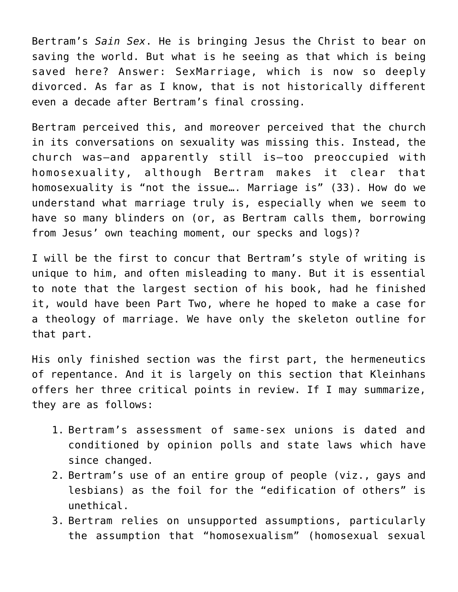Bertram's *Sain Sex*. He is bringing Jesus the Christ to bear on saving the world. But what is he seeing as that which is being saved here? Answer: SexMarriage, which is now so deeply divorced. As far as I know, that is not historically different even a decade after Bertram's final crossing.

Bertram perceived this, and moreover perceived that the church in its conversations on sexuality was missing this. Instead, the church was—and apparently still is—too preoccupied with homosexuality, although Bertram makes it clear that homosexuality is "not the issue…. Marriage is" (33). How do we understand what marriage truly is, especially when we seem to have so many blinders on (or, as Bertram calls them, borrowing from Jesus' own teaching moment, our specks and logs)?

I will be the first to concur that Bertram's style of writing is unique to him, and often misleading to many. But it is essential to note that the largest section of his book, had he finished it, would have been Part Two, where he hoped to make a case for a theology of marriage. We have only the skeleton outline for that part.

His only finished section was the first part, the hermeneutics of repentance. And it is largely on this section that Kleinhans offers her three critical points in review. If I may summarize, they are as follows:

- 1. Bertram's assessment of same-sex unions is dated and conditioned by opinion polls and state laws which have since changed.
- 2. Bertram's use of an entire group of people (viz., gays and lesbians) as the foil for the "edification of others" is unethical.
- 3. Bertram relies on unsupported assumptions, particularly the assumption that "homosexualism" (homosexual sexual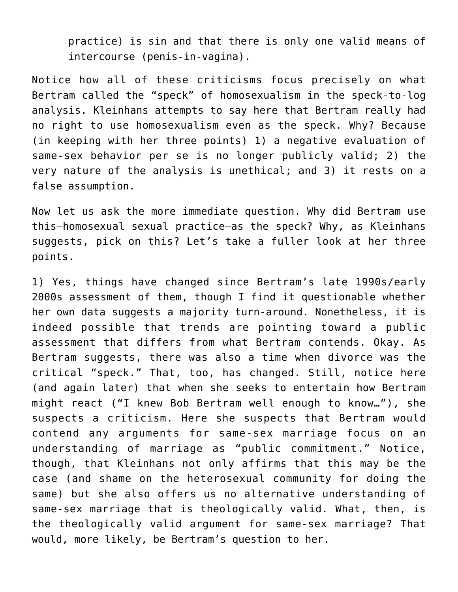practice) is sin and that there is only one valid means of intercourse (penis-in-vagina).

Notice how all of these criticisms focus precisely on what Bertram called the "speck" of homosexualism in the speck-to-log analysis. Kleinhans attempts to say here that Bertram really had no right to use homosexualism even as the speck. Why? Because (in keeping with her three points) 1) a negative evaluation of same-sex behavior per se is no longer publicly valid; 2) the very nature of the analysis is unethical; and 3) it rests on a false assumption.

Now let us ask the more immediate question. Why did Bertram use this—homosexual sexual practice—as the speck? Why, as Kleinhans suggests, pick on this? Let's take a fuller look at her three points.

1) Yes, things have changed since Bertram's late 1990s/early 2000s assessment of them, though I find it questionable whether her own data suggests a majority turn-around. Nonetheless, it is indeed possible that trends are pointing toward a public assessment that differs from what Bertram contends. Okay. As Bertram suggests, there was also a time when divorce was the critical "speck." That, too, has changed. Still, notice here (and again later) that when she seeks to entertain how Bertram might react ("I knew Bob Bertram well enough to know…"), she suspects a criticism. Here she suspects that Bertram would contend any arguments for same-sex marriage focus on an understanding of marriage as "public commitment." Notice, though, that Kleinhans not only affirms that this may be the case (and shame on the heterosexual community for doing the same) but she also offers us no alternative understanding of same-sex marriage that is theologically valid. What, then, is the theologically valid argument for same-sex marriage? That would, more likely, be Bertram's question to her.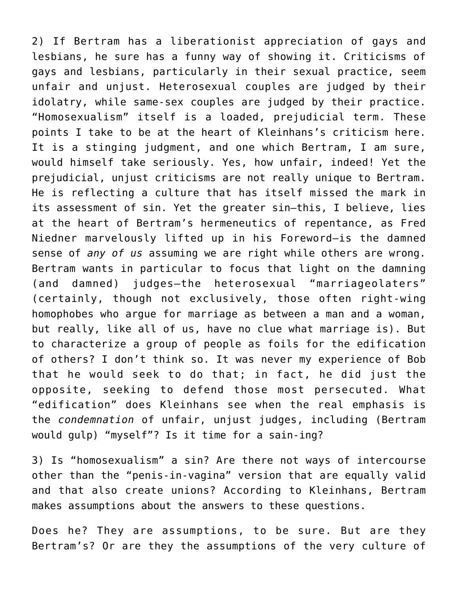2) If Bertram has a liberationist appreciation of gays and lesbians, he sure has a funny way of showing it. Criticisms of gays and lesbians, particularly in their sexual practice, seem unfair and unjust. Heterosexual couples are judged by their idolatry, while same-sex couples are judged by their practice. "Homosexualism" itself is a loaded, prejudicial term. These points I take to be at the heart of Kleinhans's criticism here. It is a stinging judgment, and one which Bertram, I am sure, would himself take seriously. Yes, how unfair, indeed! Yet the prejudicial, unjust criticisms are not really unique to Bertram. He is reflecting a culture that has itself missed the mark in its assessment of sin. Yet the greater sin—this, I believe, lies at the heart of Bertram's hermeneutics of repentance, as Fred Niedner marvelously lifted up in his Foreword—is the damned sense of *any of us* assuming we are right while others are wrong. Bertram wants in particular to focus that light on the damning (and damned) judges—the heterosexual "marriageolaters" (certainly, though not exclusively, those often right-wing homophobes who argue for marriage as between a man and a woman, but really, like all of us, have no clue what marriage is). But to characterize a group of people as foils for the edification of others? I don't think so. It was never my experience of Bob that he would seek to do that; in fact, he did just the opposite, seeking to defend those most persecuted. What "edification" does Kleinhans see when the real emphasis is the *condemnation* of unfair, unjust judges, including (Bertram would gulp) "myself"? Is it time for a sain-ing?

3) Is "homosexualism" a sin? Are there not ways of intercourse other than the "penis-in-vagina" version that are equally valid and that also create unions? According to Kleinhans, Bertram makes assumptions about the answers to these questions.

Does he? They are assumptions, to be sure. But are they Bertram's? Or are they the assumptions of the very culture of